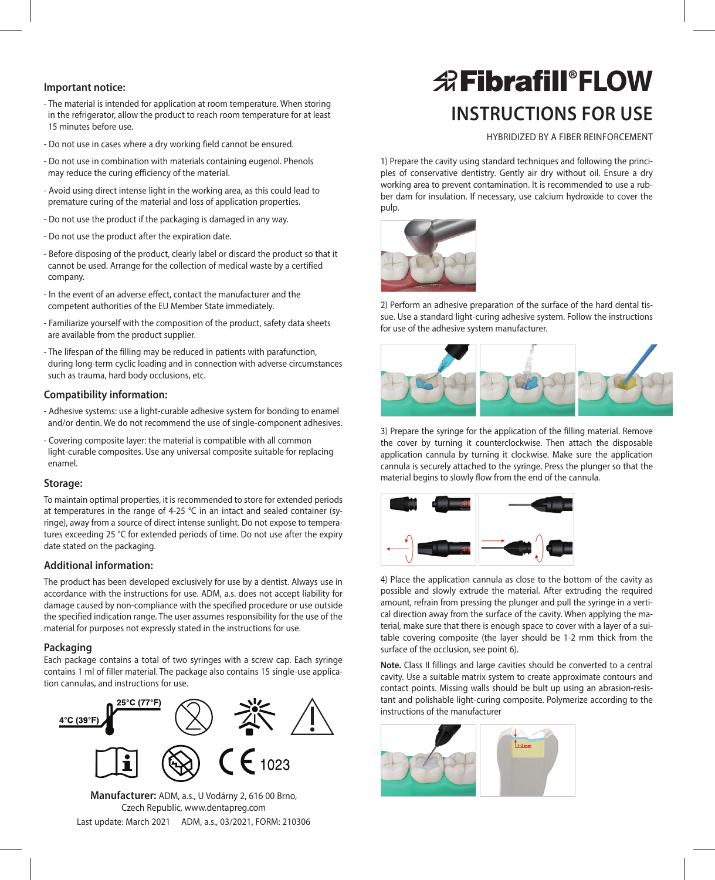- The material is intended for application at room temperature. When storing in the refrigerator, allow the product to reach room temperature for at least 15 minutes before use.
- Do not use in cases where a dry working field cannot be ensured.
- Do not use in combination with materials containing eugenol. Phenols may reduce the curing efficiency of the material.
- Avoid using direct intense light in the working area, as this could lead to premature curing of the material and loss of application properties.
- Do not use the product if the packaging is damaged in any way.
- Do not use the product after the expiration date.
- Before disposing of the product, clearly label or discard the product so that it cannot be used. Arrange for the collection of medical waste by a certified company.
- In the event of an adverse effect, contact the manufacturer and the competent authorities of the EU Member State immediately.
- Familiarize yourself with the composition of the product, safety data sheets are available from the product supplier.
- The lifespan of the filling may be reduced in patients with parafunction, during long-term cyclic loading and in connection with adverse circumstances such as trauma, hard body occlusions, etc.

## **Compatibility information:**

- Adhesive systems: use a light-curable adhesive system for bonding to enamel and/or dentin. We do not recommend the use of single-component adhesives.
- Covering composite layer: the material is compatible with all common light-curable composites. Use any universal composite suitable for replacing enamel.

### **Storage:**

To maintain optimal properties, it is recommended to store for extended periods at temperatures in the range of 4-25 °C in an intact and sealed container (syringe), away from a source of direct intense sunlight. Do not expose to temperatures exceeding 25 °C for extended periods of time. Do not use after the expiry date stated on the packaging.

### **Additional information:**

The product has been developed exclusively for use by a dentist. Always use in accordance with the instructions for use. ADM, a.s. does not accept liability for damage caused by non-compliance with the specified procedure or use outside the specified indication range. The user assumes responsibility for the use of the material for purposes not expressly stated in the instructions for use.

### **Packaging**

Each package contains a total of two syringes with a screw cap. Each syringe contains 1 ml of filler material. The package also contains 15 single-use application cannulas, and instructions for use.



**Manufacturer:** ADM, a.s., U Vodárny 2, 616 00 Brno, Czech Republic, www.dentapreg.com Last update: March 2021 ADM, a.s., 03/2021, FORM: 210306

# **Instructions for use** Important notice: **FLOW**

HYBRIDIZED BY A FIBER REINFORCEMENT

1) Prepare the cavity using standard techniques and following the principles of conservative dentistry. Gently air dry without oil. Ensure a dry working area to prevent contamination. It is recommended to use a rubber dam for insulation. If necessary, use calcium hydroxide to cover the pulp.



2) Perform an adhesive preparation of the surface of the hard dental tissue. Use a standard light-curing adhesive system. Follow the instructions for use of the adhesive system manufacturer.



3) Prepare the syringe for the application of the filling material. Remove the cover by turning it counterclockwise. Then attach the disposable application cannula by turning it clockwise. Make sure the application cannula is securely attached to the syringe. Press the plunger so that the material begins to slowly flow from the end of the cannula.



4) Place the application cannula as close to the bottom of the cavity as possible and slowly extrude the material. After extruding the required amount, refrain from pressing the plunger and pull the syringe in a vertical direction away from the surface of the cavity. When applying the material, make sure that there is enough space to cover with a layer of a suitable covering composite (the layer should be 1-2 mm thick from the surface of the occlusion, see point 6).

**Note.** Class II fillings and large cavities should be converted to a central cavity. Use a suitable matrix system to create approximate contours and contact points. Missing walls should be bult up using an abrasion-resistant and polishable light-curing composite. Polymerize according to the instructions of the manufacturer